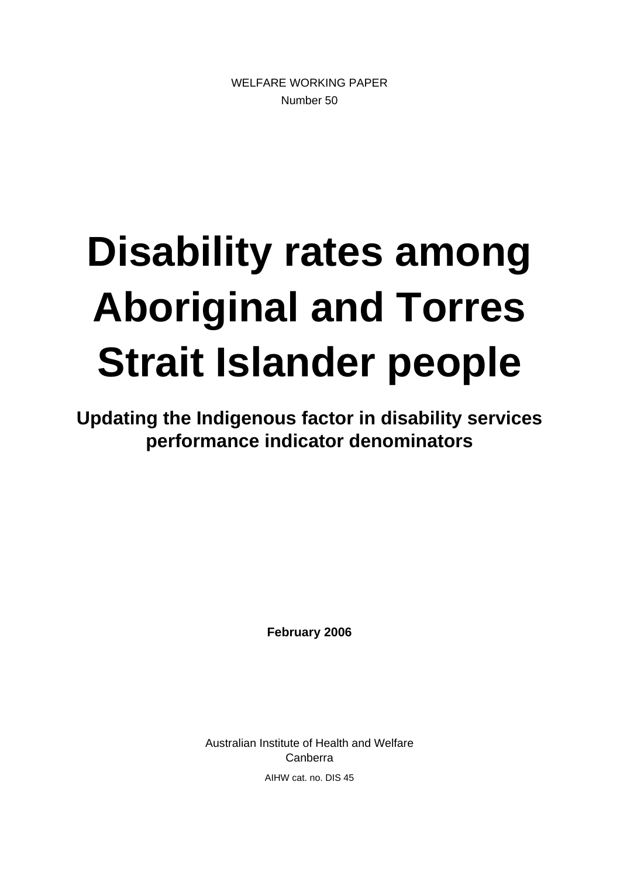WELFARE WORKING PAPER Number 50

# **Disability rates among Aboriginal and Torres Strait Islander people**

**Updating the Indigenous factor in disability services performance indicator denominators** 

**February 2006** 

Australian Institute of Health and Welfare Canberra AIHW cat. no. DIS 45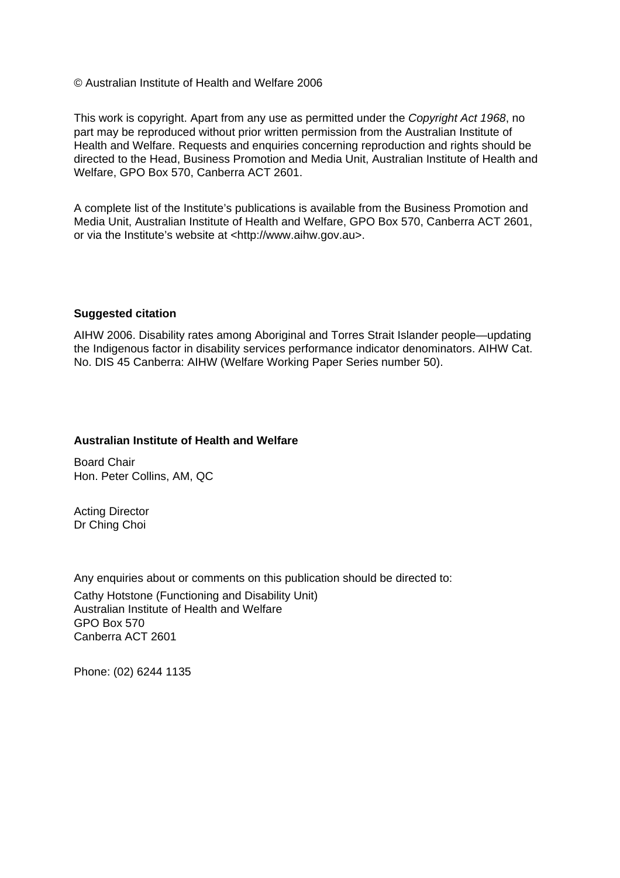© Australian Institute of Health and Welfare 2006

This work is copyright. Apart from any use as permitted under the *Copyright Act 1968*, no part may be reproduced without prior written permission from the Australian Institute of Health and Welfare. Requests and enquiries concerning reproduction and rights should be directed to the Head, Business Promotion and Media Unit, Australian Institute of Health and Welfare, GPO Box 570, Canberra ACT 2601.

A complete list of the Institute's publications is available from the Business Promotion and Media Unit, Australian Institute of Health and Welfare, GPO Box 570, Canberra ACT 2601, or via the Institute's website at <http://www.aihw.gov.au>.

#### **Suggested citation**

AIHW 2006. Disability rates among Aboriginal and Torres Strait Islander people—updating the Indigenous factor in disability services performance indicator denominators. AIHW Cat. No. DIS 45 Canberra: AIHW (Welfare Working Paper Series number 50).

#### **Australian Institute of Health and Welfare**

Board Chair Hon. Peter Collins, AM, QC

Acting Director Dr Ching Choi

Any enquiries about or comments on this publication should be directed to: Cathy Hotstone (Functioning and Disability Unit) Australian Institute of Health and Welfare GPO Box 570 Canberra ACT 2601

Phone: (02) 6244 1135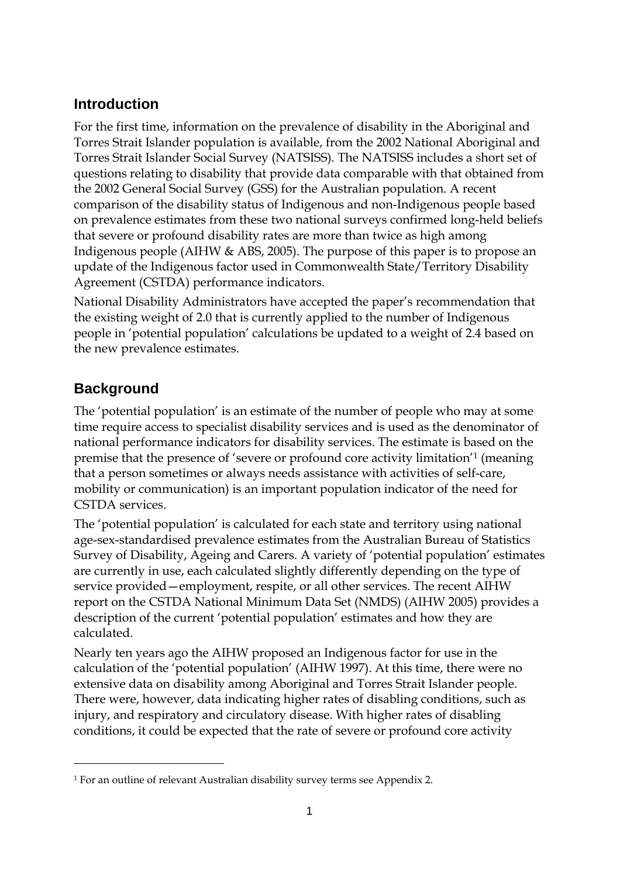## **Introduction**

For the first time, information on the prevalence of disability in the Aboriginal and Torres Strait Islander population is available, from the 2002 National Aboriginal and Torres Strait Islander Social Survey (NATSISS). The NATSISS includes a short set of questions relating to disability that provide data comparable with that obtained from the 2002 General Social Survey (GSS) for the Australian population. A recent comparison of the disability status of Indigenous and non-Indigenous people based on prevalence estimates from these two national surveys confirmed long-held beliefs that severe or profound disability rates are more than twice as high among Indigenous people (AIHW & ABS, 2005). The purpose of this paper is to propose an update of the Indigenous factor used in Commonwealth State/Territory Disability Agreement (CSTDA) performance indicators.

National Disability Administrators have accepted the paper's recommendation that the existing weight of 2.0 that is currently applied to the number of Indigenous people in 'potential population' calculations be updated to a weight of 2.4 based on the new prevalence estimates.

## **Background**

The 'potential population' is an estimate of the number of people who may at some time require access to specialist disability services and is used as the denominator of national performance indicators for disability services. The estimate is based on the premise that the presence of 'severe or profound core activity limitation'1 (meaning that a person sometimes or always needs assistance with activities of self-care, mobility or communication) is an important population indicator of the need for CSTDA services.

The 'potential population' is calculated for each state and territory using national age-sex-standardised prevalence estimates from the Australian Bureau of Statistics Survey of Disability, Ageing and Carers. A variety of 'potential population' estimates are currently in use, each calculated slightly differently depending on the type of service provided—employment, respite, or all other services. The recent AIHW report on the CSTDA National Minimum Data Set (NMDS) (AIHW 2005) provides a description of the current 'potential population' estimates and how they are calculated.

Nearly ten years ago the AIHW proposed an Indigenous factor for use in the calculation of the 'potential population' (AIHW 1997). At this time, there were no extensive data on disability among Aboriginal and Torres Strait Islander people. There were, however, data indicating higher rates of disabling conditions, such as injury, and respiratory and circulatory disease. With higher rates of disabling conditions, it could be expected that the rate of severe or profound core activity

<sup>1</sup> For an outline of relevant Australian disability survey terms see Appendix 2.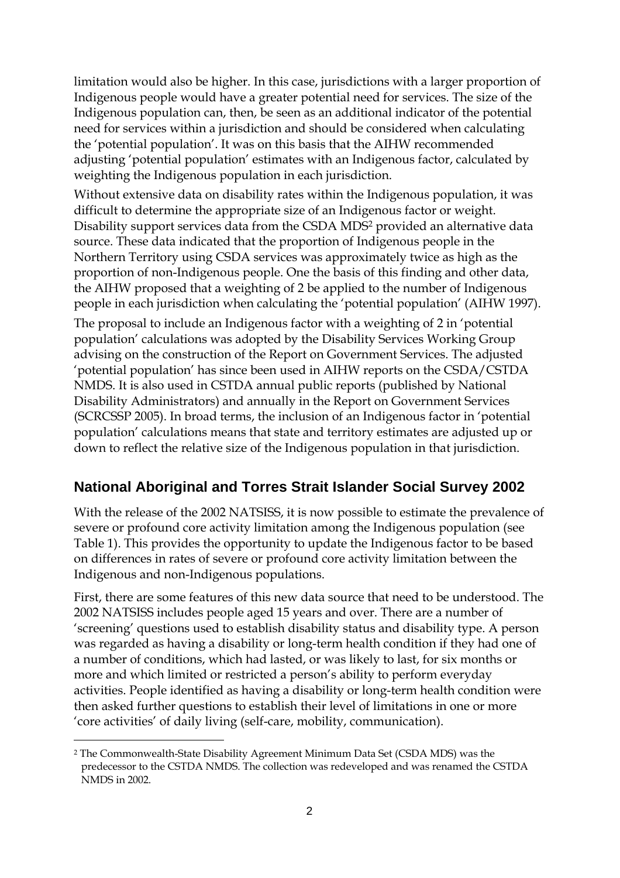limitation would also be higher. In this case, jurisdictions with a larger proportion of Indigenous people would have a greater potential need for services. The size of the Indigenous population can, then, be seen as an additional indicator of the potential need for services within a jurisdiction and should be considered when calculating the 'potential population'. It was on this basis that the AIHW recommended adjusting 'potential population' estimates with an Indigenous factor, calculated by weighting the Indigenous population in each jurisdiction.

Without extensive data on disability rates within the Indigenous population, it was difficult to determine the appropriate size of an Indigenous factor or weight. Disability support services data from the CSDA MDS2 provided an alternative data source. These data indicated that the proportion of Indigenous people in the Northern Territory using CSDA services was approximately twice as high as the proportion of non-Indigenous people. One the basis of this finding and other data, the AIHW proposed that a weighting of 2 be applied to the number of Indigenous people in each jurisdiction when calculating the 'potential population' (AIHW 1997).

The proposal to include an Indigenous factor with a weighting of 2 in 'potential population' calculations was adopted by the Disability Services Working Group advising on the construction of the Report on Government Services. The adjusted 'potential population' has since been used in AIHW reports on the CSDA/CSTDA NMDS. It is also used in CSTDA annual public reports (published by National Disability Administrators) and annually in the Report on Government Services (SCRCSSP 2005). In broad terms, the inclusion of an Indigenous factor in 'potential population' calculations means that state and territory estimates are adjusted up or down to reflect the relative size of the Indigenous population in that jurisdiction.

## **National Aboriginal and Torres Strait Islander Social Survey 2002**

With the release of the 2002 NATSISS, it is now possible to estimate the prevalence of severe or profound core activity limitation among the Indigenous population (see Table 1). This provides the opportunity to update the Indigenous factor to be based on differences in rates of severe or profound core activity limitation between the Indigenous and non-Indigenous populations.

First, there are some features of this new data source that need to be understood. The 2002 NATSISS includes people aged 15 years and over. There are a number of 'screening' questions used to establish disability status and disability type. A person was regarded as having a disability or long-term health condition if they had one of a number of conditions, which had lasted, or was likely to last, for six months or more and which limited or restricted a person's ability to perform everyday activities. People identified as having a disability or long-term health condition were then asked further questions to establish their level of limitations in one or more 'core activities' of daily living (self-care, mobility, communication).

<sup>2</sup> The Commonwealth-State Disability Agreement Minimum Data Set (CSDA MDS) was the predecessor to the CSTDA NMDS. The collection was redeveloped and was renamed the CSTDA NMDS in 2002.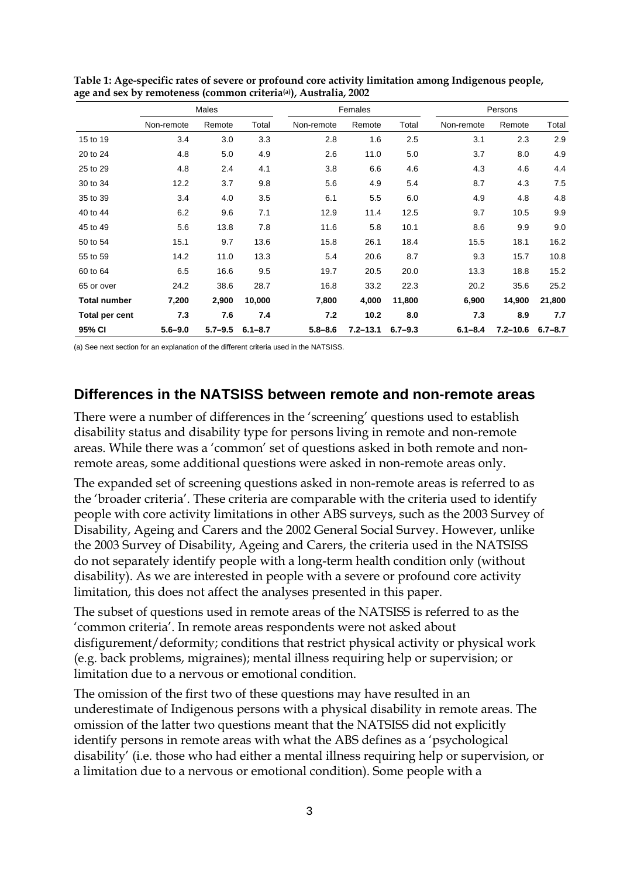|                     |             | Males       |             |             | Females      |             | Persons     |              |             |  |
|---------------------|-------------|-------------|-------------|-------------|--------------|-------------|-------------|--------------|-------------|--|
|                     | Non-remote  | Remote      | Total       | Non-remote  | Remote       | Total       | Non-remote  | Remote       | Total       |  |
| 15 to 19            | 3.4         | 3.0         | 3.3         | 2.8         | 1.6          | 2.5         | 3.1         | 2.3          | 2.9         |  |
| 20 to 24            | 4.8         | 5.0         | 4.9         | 2.6         | 11.0         | 5.0         | 3.7         | 8.0          | 4.9         |  |
| 25 to 29            | 4.8         | 2.4         | 4.1         | 3.8         | 6.6          | 4.6         | 4.3         | 4.6          | 4.4         |  |
| 30 to 34            | 12.2        | 3.7         | 9.8         | 5.6         | 4.9          | 5.4         | 8.7         | 4.3          | 7.5         |  |
| 35 to 39            | 3.4         | 4.0         | 3.5         | 6.1         | 5.5          | 6.0         | 4.9         | 4.8          | 4.8         |  |
| 40 to 44            | 6.2         | 9.6         | 7.1         | 12.9        | 11.4         | 12.5        | 9.7         | 10.5         | 9.9         |  |
| 45 to 49            | 5.6         | 13.8        | 7.8         | 11.6        | 5.8          | 10.1        | 8.6         | 9.9          | 9.0         |  |
| 50 to 54            | 15.1        | 9.7         | 13.6        | 15.8        | 26.1         | 18.4        | 15.5        | 18.1         | 16.2        |  |
| 55 to 59            | 14.2        | 11.0        | 13.3        | 5.4         | 20.6         | 8.7         | 9.3         | 15.7         | 10.8        |  |
| 60 to 64            | 6.5         | 16.6        | 9.5         | 19.7        | 20.5         | 20.0        | 13.3        | 18.8         | 15.2        |  |
| 65 or over          | 24.2        | 38.6        | 28.7        | 16.8        | 33.2         | 22.3        | 20.2        | 35.6         | 25.2        |  |
| <b>Total number</b> | 7,200       | 2,900       | 10,000      | 7,800       | 4,000        | 11,800      | 6,900       | 14,900       | 21,800      |  |
| Total per cent      | 7.3         | 7.6         | 7.4         | 7.2         | 10.2         | 8.0         | 7.3         | 8.9          | 7.7         |  |
| 95% CI              | $5.6 - 9.0$ | $5.7 - 9.5$ | $6.1 - 8.7$ | $5.8 - 8.6$ | $7.2 - 13.1$ | $6.7 - 9.3$ | $6.1 - 8.4$ | $7.2 - 10.6$ | $6.7 - 8.7$ |  |

**Table 1: Age-specific rates of severe or profound core activity limitation among Indigenous people, age and sex by remoteness (common criteria(a)), Australia, 2002** 

(a) See next section for an explanation of the different criteria used in the NATSISS.

#### **Differences in the NATSISS between remote and non-remote areas**

There were a number of differences in the 'screening' questions used to establish disability status and disability type for persons living in remote and non-remote areas. While there was a 'common' set of questions asked in both remote and nonremote areas, some additional questions were asked in non-remote areas only.

The expanded set of screening questions asked in non-remote areas is referred to as the 'broader criteria'. These criteria are comparable with the criteria used to identify people with core activity limitations in other ABS surveys, such as the 2003 Survey of Disability, Ageing and Carers and the 2002 General Social Survey. However, unlike the 2003 Survey of Disability, Ageing and Carers, the criteria used in the NATSISS do not separately identify people with a long-term health condition only (without disability). As we are interested in people with a severe or profound core activity limitation, this does not affect the analyses presented in this paper.

The subset of questions used in remote areas of the NATSISS is referred to as the 'common criteria'. In remote areas respondents were not asked about disfigurement/deformity; conditions that restrict physical activity or physical work (e.g. back problems, migraines); mental illness requiring help or supervision; or limitation due to a nervous or emotional condition.

The omission of the first two of these questions may have resulted in an underestimate of Indigenous persons with a physical disability in remote areas. The omission of the latter two questions meant that the NATSISS did not explicitly identify persons in remote areas with what the ABS defines as a 'psychological disability' (i.e. those who had either a mental illness requiring help or supervision, or a limitation due to a nervous or emotional condition). Some people with a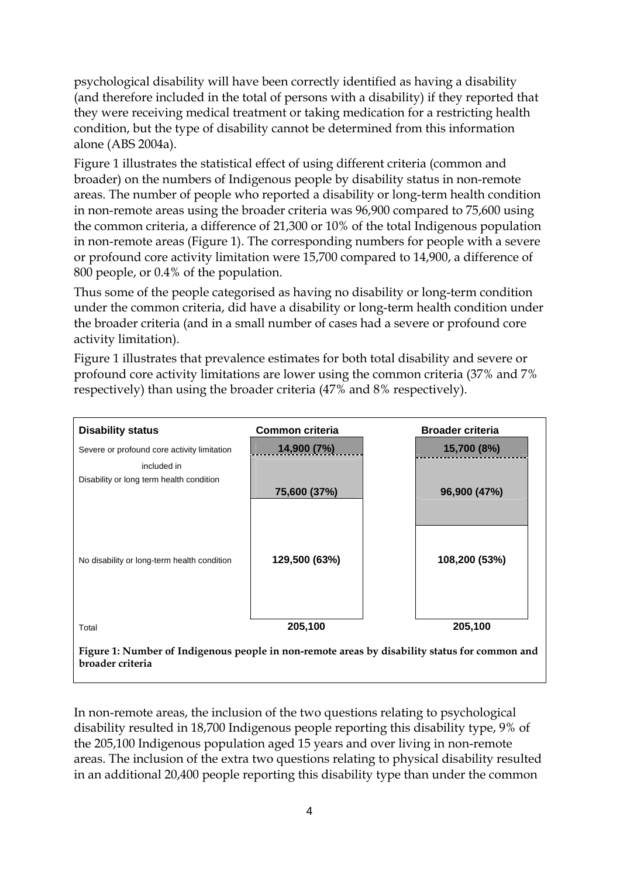psychological disability will have been correctly identified as having a disability (and therefore included in the total of persons with a disability) if they reported that they were receiving medical treatment or taking medication for a restricting health condition, but the type of disability cannot be determined from this information alone (ABS 2004a).

Figure 1 illustrates the statistical effect of using different criteria (common and broader) on the numbers of Indigenous people by disability status in non-remote areas. The number of people who reported a disability or long-term health condition in non-remote areas using the broader criteria was 96,900 compared to 75,600 using the common criteria, a difference of 21,300 or 10% of the total Indigenous population in non-remote areas (Figure 1). The corresponding numbers for people with a severe or profound core activity limitation were 15,700 compared to 14,900, a difference of 800 people, or 0.4% of the population.

Thus some of the people categorised as having no disability or long-term condition under the common criteria, did have a disability or long-term health condition under the broader criteria (and in a small number of cases had a severe or profound core activity limitation).

Figure 1 illustrates that prevalence estimates for both total disability and severe or profound core activity limitations are lower using the common criteria (37% and 7% respectively) than using the broader criteria (47% and 8% respectively).

| <b>Disability status</b>                                                                                          | Common criteria | <b>Broader criteria</b> |  |  |  |  |  |  |  |
|-------------------------------------------------------------------------------------------------------------------|-----------------|-------------------------|--|--|--|--|--|--|--|
| Severe or profound core activity limitation                                                                       | 14,900 (7%)     | 15,700 (8%)             |  |  |  |  |  |  |  |
| included in<br>Disability or long term health condition                                                           | 75,600 (37%)    | 96,900 (47%)            |  |  |  |  |  |  |  |
| No disability or long-term health condition                                                                       | 129,500 (63%)   | 108,200 (53%)           |  |  |  |  |  |  |  |
| Total                                                                                                             | 205,100         | 205,100                 |  |  |  |  |  |  |  |
| Figure 1: Number of Indigenous people in non-remote areas by disability status for common and<br>broader criteria |                 |                         |  |  |  |  |  |  |  |

In non-remote areas, the inclusion of the two questions relating to psychological disability resulted in 18,700 Indigenous people reporting this disability type, 9% of the 205,100 Indigenous population aged 15 years and over living in non-remote areas. The inclusion of the extra two questions relating to physical disability resulted in an additional 20,400 people reporting this disability type than under the common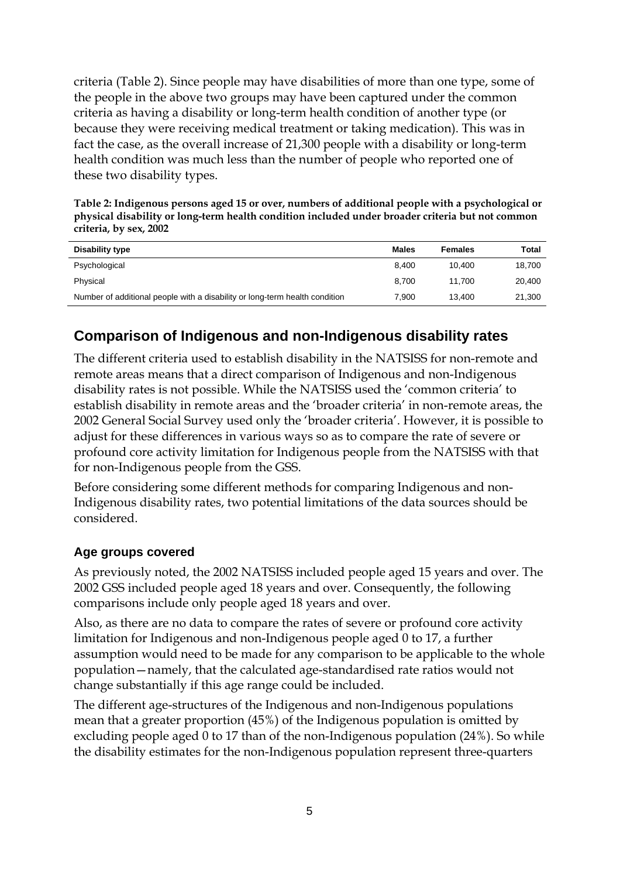criteria (Table 2). Since people may have disabilities of more than one type, some of the people in the above two groups may have been captured under the common criteria as having a disability or long-term health condition of another type (or because they were receiving medical treatment or taking medication). This was in fact the case, as the overall increase of 21,300 people with a disability or long-term health condition was much less than the number of people who reported one of these two disability types.

**Table 2: Indigenous persons aged 15 or over, numbers of additional people with a psychological or physical disability or long-term health condition included under broader criteria but not common criteria, by sex, 2002** 

| Disability type                                                             | <b>Males</b> | Females | Total  |
|-----------------------------------------------------------------------------|--------------|---------|--------|
| Psychological                                                               | 8.400        | 10.400  | 18,700 |
| Physical                                                                    | 8.700        | 11.700  | 20,400 |
| Number of additional people with a disability or long-term health condition | 7.900        | 13.400  | 21,300 |

# **Comparison of Indigenous and non-Indigenous disability rates**

The different criteria used to establish disability in the NATSISS for non-remote and remote areas means that a direct comparison of Indigenous and non-Indigenous disability rates is not possible. While the NATSISS used the 'common criteria' to establish disability in remote areas and the 'broader criteria' in non-remote areas, the 2002 General Social Survey used only the 'broader criteria'. However, it is possible to adjust for these differences in various ways so as to compare the rate of severe or profound core activity limitation for Indigenous people from the NATSISS with that for non-Indigenous people from the GSS.

Before considering some different methods for comparing Indigenous and non-Indigenous disability rates, two potential limitations of the data sources should be considered.

#### **Age groups covered**

As previously noted, the 2002 NATSISS included people aged 15 years and over. The 2002 GSS included people aged 18 years and over. Consequently, the following comparisons include only people aged 18 years and over.

Also, as there are no data to compare the rates of severe or profound core activity limitation for Indigenous and non-Indigenous people aged 0 to 17, a further assumption would need to be made for any comparison to be applicable to the whole population—namely, that the calculated age-standardised rate ratios would not change substantially if this age range could be included.

The different age-structures of the Indigenous and non-Indigenous populations mean that a greater proportion (45%) of the Indigenous population is omitted by excluding people aged 0 to 17 than of the non-Indigenous population (24%). So while the disability estimates for the non-Indigenous population represent three-quarters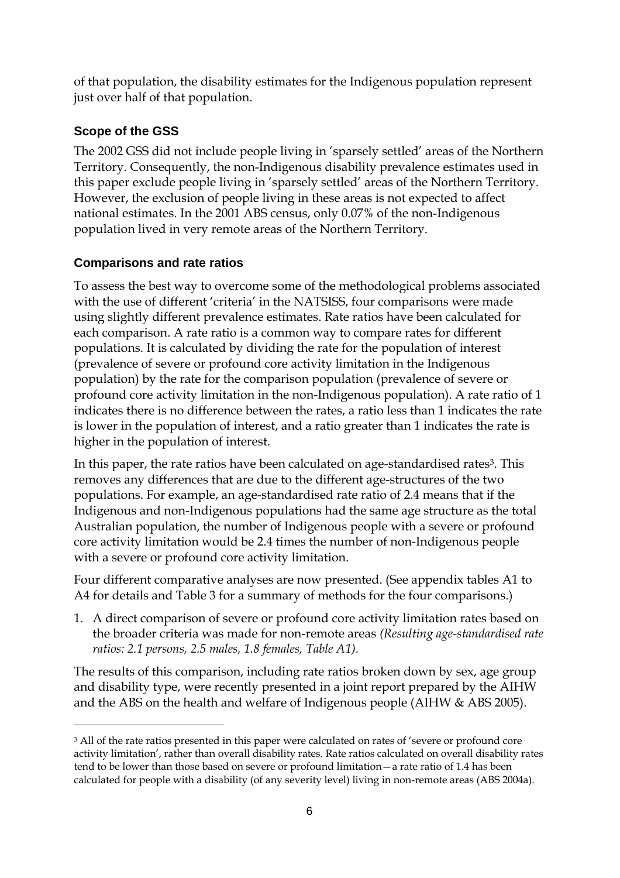of that population, the disability estimates for the Indigenous population represent just over half of that population.

### **Scope of the GSS**

The 2002 GSS did not include people living in 'sparsely settled' areas of the Northern Territory. Consequently, the non-Indigenous disability prevalence estimates used in this paper exclude people living in 'sparsely settled' areas of the Northern Territory. However, the exclusion of people living in these areas is not expected to affect national estimates. In the 2001 ABS census, only 0.07% of the non-Indigenous population lived in very remote areas of the Northern Territory.

#### **Comparisons and rate ratios**

To assess the best way to overcome some of the methodological problems associated with the use of different 'criteria' in the NATSISS, four comparisons were made using slightly different prevalence estimates. Rate ratios have been calculated for each comparison. A rate ratio is a common way to compare rates for different populations. It is calculated by dividing the rate for the population of interest (prevalence of severe or profound core activity limitation in the Indigenous population) by the rate for the comparison population (prevalence of severe or profound core activity limitation in the non-Indigenous population). A rate ratio of 1 indicates there is no difference between the rates, a ratio less than 1 indicates the rate is lower in the population of interest, and a ratio greater than 1 indicates the rate is higher in the population of interest.

In this paper, the rate ratios have been calculated on age-standardised rates<sup>3</sup>. This removes any differences that are due to the different age-structures of the two populations. For example, an age-standardised rate ratio of 2.4 means that if the Indigenous and non-Indigenous populations had the same age structure as the total Australian population, the number of Indigenous people with a severe or profound core activity limitation would be 2.4 times the number of non-Indigenous people with a severe or profound core activity limitation.

Four different comparative analyses are now presented. (See appendix tables A1 to A4 for details and Table 3 for a summary of methods for the four comparisons.)

1. A direct comparison of severe or profound core activity limitation rates based on the broader criteria was made for non-remote areas *(Resulting age-standardised rate ratios: 2.1 persons, 2.5 males, 1.8 females, Table A1).* 

The results of this comparison, including rate ratios broken down by sex, age group and disability type, were recently presented in a joint report prepared by the AIHW and the ABS on the health and welfare of Indigenous people (AIHW & ABS 2005).

<sup>&</sup>lt;sup>3</sup> All of the rate ratios presented in this paper were calculated on rates of 'severe or profound core activity limitation', rather than overall disability rates. Rate ratios calculated on overall disability rates tend to be lower than those based on severe or profound limitation—a rate ratio of 1.4 has been calculated for people with a disability (of any severity level) living in non-remote areas (ABS 2004a).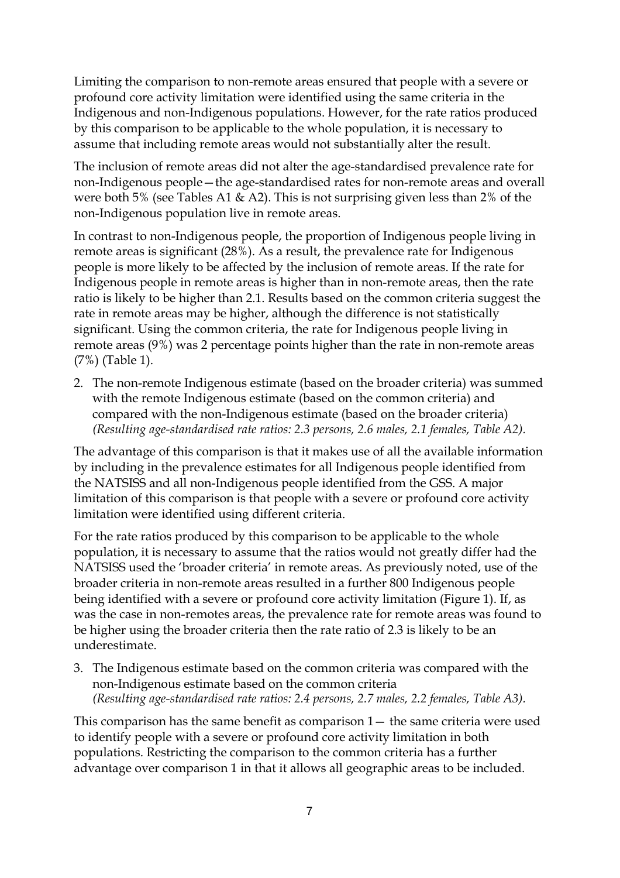Limiting the comparison to non-remote areas ensured that people with a severe or profound core activity limitation were identified using the same criteria in the Indigenous and non-Indigenous populations. However, for the rate ratios produced by this comparison to be applicable to the whole population, it is necessary to assume that including remote areas would not substantially alter the result.

The inclusion of remote areas did not alter the age-standardised prevalence rate for non-Indigenous people—the age-standardised rates for non-remote areas and overall were both 5% (see Tables A1 & A2). This is not surprising given less than 2% of the non-Indigenous population live in remote areas.

In contrast to non-Indigenous people, the proportion of Indigenous people living in remote areas is significant (28%). As a result, the prevalence rate for Indigenous people is more likely to be affected by the inclusion of remote areas. If the rate for Indigenous people in remote areas is higher than in non-remote areas, then the rate ratio is likely to be higher than 2.1. Results based on the common criteria suggest the rate in remote areas may be higher, although the difference is not statistically significant. Using the common criteria, the rate for Indigenous people living in remote areas (9%) was 2 percentage points higher than the rate in non-remote areas (7%) (Table 1).

2. The non-remote Indigenous estimate (based on the broader criteria) was summed with the remote Indigenous estimate (based on the common criteria) and compared with the non-Indigenous estimate (based on the broader criteria) *(Resulting age-standardised rate ratios: 2.3 persons, 2.6 males, 2.1 females, Table A2).* 

The advantage of this comparison is that it makes use of all the available information by including in the prevalence estimates for all Indigenous people identified from the NATSISS and all non-Indigenous people identified from the GSS. A major limitation of this comparison is that people with a severe or profound core activity limitation were identified using different criteria.

For the rate ratios produced by this comparison to be applicable to the whole population, it is necessary to assume that the ratios would not greatly differ had the NATSISS used the 'broader criteria' in remote areas. As previously noted, use of the broader criteria in non-remote areas resulted in a further 800 Indigenous people being identified with a severe or profound core activity limitation (Figure 1). If, as was the case in non-remotes areas, the prevalence rate for remote areas was found to be higher using the broader criteria then the rate ratio of 2.3 is likely to be an underestimate.

3. The Indigenous estimate based on the common criteria was compared with the non-Indigenous estimate based on the common criteria *(Resulting age-standardised rate ratios: 2.4 persons, 2.7 males, 2.2 females, Table A3).* 

This comparison has the same benefit as comparison 1— the same criteria were used to identify people with a severe or profound core activity limitation in both populations. Restricting the comparison to the common criteria has a further advantage over comparison 1 in that it allows all geographic areas to be included.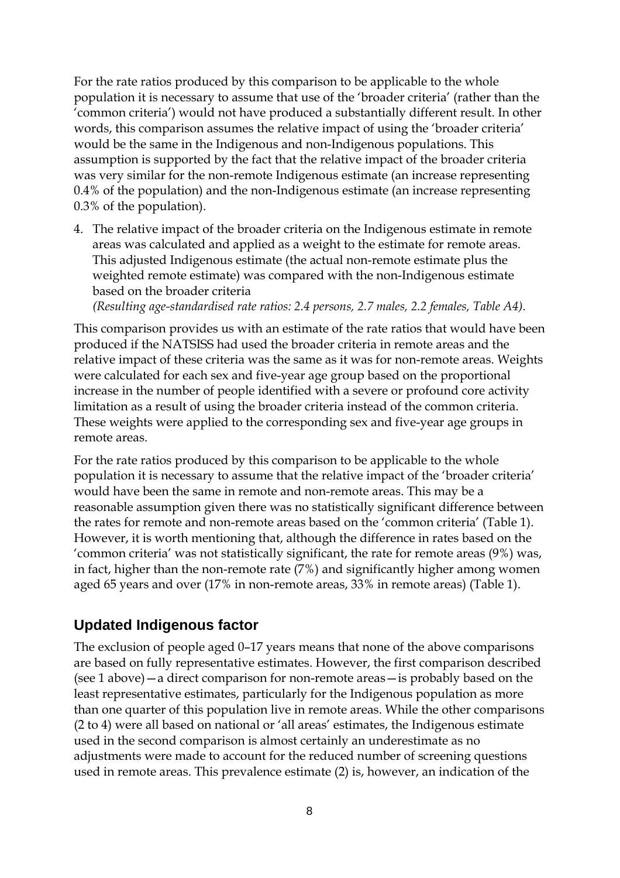For the rate ratios produced by this comparison to be applicable to the whole population it is necessary to assume that use of the 'broader criteria' (rather than the 'common criteria') would not have produced a substantially different result. In other words, this comparison assumes the relative impact of using the 'broader criteria' would be the same in the Indigenous and non-Indigenous populations. This assumption is supported by the fact that the relative impact of the broader criteria was very similar for the non-remote Indigenous estimate (an increase representing 0.4% of the population) and the non-Indigenous estimate (an increase representing 0.3% of the population).

4. The relative impact of the broader criteria on the Indigenous estimate in remote areas was calculated and applied as a weight to the estimate for remote areas. This adjusted Indigenous estimate (the actual non-remote estimate plus the weighted remote estimate) was compared with the non-Indigenous estimate based on the broader criteria

*(Resulting age-standardised rate ratios: 2.4 persons, 2.7 males, 2.2 females, Table A4).* 

This comparison provides us with an estimate of the rate ratios that would have been produced if the NATSISS had used the broader criteria in remote areas and the relative impact of these criteria was the same as it was for non-remote areas. Weights were calculated for each sex and five-year age group based on the proportional increase in the number of people identified with a severe or profound core activity limitation as a result of using the broader criteria instead of the common criteria. These weights were applied to the corresponding sex and five-year age groups in remote areas.

For the rate ratios produced by this comparison to be applicable to the whole population it is necessary to assume that the relative impact of the 'broader criteria' would have been the same in remote and non-remote areas. This may be a reasonable assumption given there was no statistically significant difference between the rates for remote and non-remote areas based on the 'common criteria' (Table 1). However, it is worth mentioning that, although the difference in rates based on the 'common criteria' was not statistically significant, the rate for remote areas (9%) was, in fact, higher than the non-remote rate (7%) and significantly higher among women aged 65 years and over (17% in non-remote areas, 33% in remote areas) (Table 1).

#### **Updated Indigenous factor**

The exclusion of people aged 0–17 years means that none of the above comparisons are based on fully representative estimates. However, the first comparison described (see 1 above)—a direct comparison for non-remote areas—is probably based on the least representative estimates, particularly for the Indigenous population as more than one quarter of this population live in remote areas. While the other comparisons (2 to 4) were all based on national or 'all areas' estimates, the Indigenous estimate used in the second comparison is almost certainly an underestimate as no adjustments were made to account for the reduced number of screening questions used in remote areas. This prevalence estimate (2) is, however, an indication of the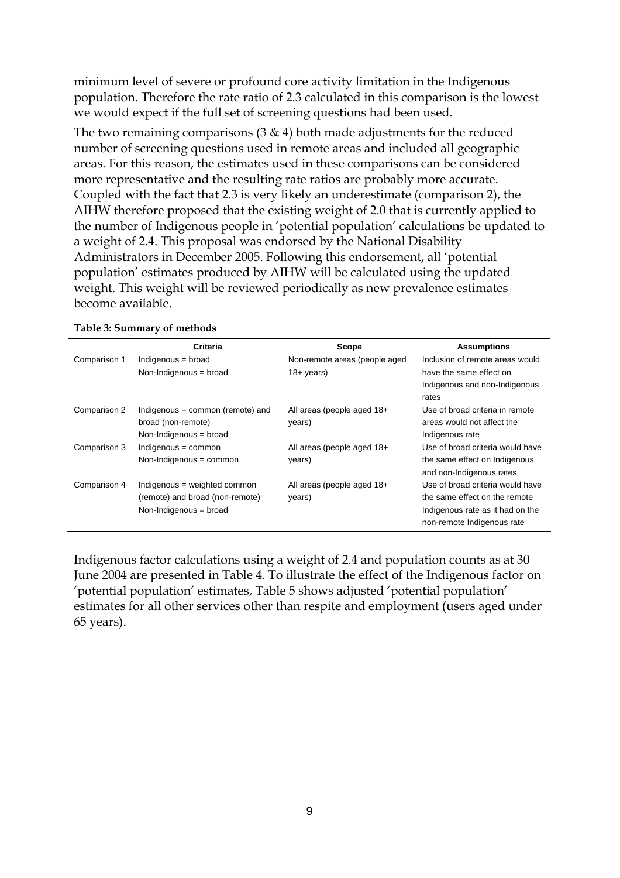minimum level of severe or profound core activity limitation in the Indigenous population. Therefore the rate ratio of 2.3 calculated in this comparison is the lowest we would expect if the full set of screening questions had been used.

The two remaining comparisons  $(3 \& 4)$  both made adjustments for the reduced number of screening questions used in remote areas and included all geographic areas. For this reason, the estimates used in these comparisons can be considered more representative and the resulting rate ratios are probably more accurate. Coupled with the fact that 2.3 is very likely an underestimate (comparison 2), the AIHW therefore proposed that the existing weight of 2.0 that is currently applied to the number of Indigenous people in 'potential population' calculations be updated to a weight of 2.4. This proposal was endorsed by the National Disability Administrators in December 2005. Following this endorsement, all 'potential population' estimates produced by AIHW will be calculated using the updated weight. This weight will be reviewed periodically as new prevalence estimates become available.

|              | Criteria                           | <b>Scope</b>                  | <b>Assumptions</b>               |
|--------------|------------------------------------|-------------------------------|----------------------------------|
| Comparison 1 | Indigenous = broad                 | Non-remote areas (people aged | Inclusion of remote areas would  |
|              | Non-Indigenous = broad             | $18 + \mathrm{years}$         | have the same effect on          |
|              |                                    |                               | Indigenous and non-Indigenous    |
|              |                                    |                               | rates                            |
| Comparison 2 | Indigenous $=$ common (remote) and | All areas (people aged 18+    | Use of broad criteria in remote  |
|              | broad (non-remote)                 | years)                        | areas would not affect the       |
|              | Non-Indigenous = broad             |                               | Indigenous rate                  |
| Comparison 3 | Indigenous = common                | All areas (people aged 18+    | Use of broad criteria would have |
|              | Non-Indigenous = common            | years)                        | the same effect on Indigenous    |
|              |                                    |                               | and non-Indigenous rates         |
| Comparison 4 | Indigenous = weighted common       | All areas (people aged 18+    | Use of broad criteria would have |
|              | (remote) and broad (non-remote)    | years)                        | the same effect on the remote    |
|              | Non-Indigenous = broad             |                               | Indigenous rate as it had on the |
|              |                                    |                               | non-remote Indigenous rate       |

#### **Table 3: Summary of methods**

Indigenous factor calculations using a weight of 2.4 and population counts as at 30 June 2004 are presented in Table 4. To illustrate the effect of the Indigenous factor on 'potential population' estimates, Table 5 shows adjusted 'potential population' estimates for all other services other than respite and employment (users aged under 65 years).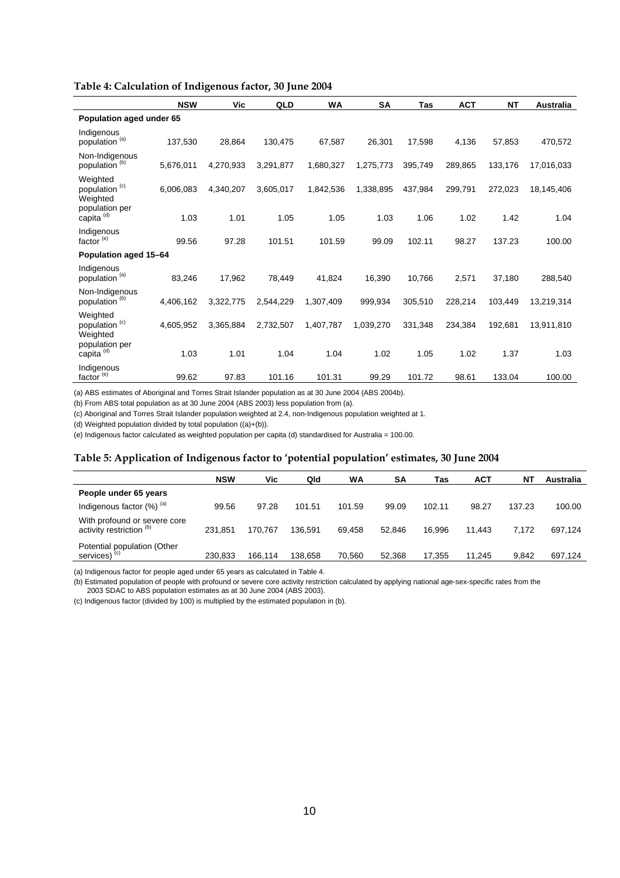| Table 4: Calculation of Indigenous factor, 30 June 2004 |
|---------------------------------------------------------|
|---------------------------------------------------------|

|                                                   | <b>NSW</b> | Vic       | QLD       | WA        | SA        | <b>Tas</b> | <b>ACT</b> | <b>NT</b> | Australia  |
|---------------------------------------------------|------------|-----------|-----------|-----------|-----------|------------|------------|-----------|------------|
| Population aged under 65                          |            |           |           |           |           |            |            |           |            |
| Indigenous<br>population <sup>(a)</sup>           | 137,530    | 28,864    | 130,475   | 67,587    | 26,301    | 17.598     | 4,136      | 57,853    | 470,572    |
| Non-Indigenous<br>population <sup>(b)</sup>       | 5,676,011  | 4,270,933 | 3,291,877 | 1,680,327 | 1,275,773 | 395,749    | 289,865    | 133,176   | 17,016,033 |
| Weighted<br>population <sup>(c)</sup><br>Weighted | 6,006,083  | 4,340,207 | 3,605,017 | 1,842,536 | 1,338,895 | 437,984    | 299.791    | 272,023   | 18,145,406 |
| population per<br>capita <sup>(d)</sup>           | 1.03       | 1.01      | 1.05      | 1.05      | 1.03      | 1.06       | 1.02       | 1.42      | 1.04       |
| Indigenous<br>factor <sup>(e)</sup>               | 99.56      | 97.28     | 101.51    | 101.59    | 99.09     | 102.11     | 98.27      | 137.23    | 100.00     |
| Population aged 15-64                             |            |           |           |           |           |            |            |           |            |
| Indigenous<br>population <sup>(a)</sup>           | 83,246     | 17,962    | 78,449    | 41,824    | 16,390    | 10,766     | 2,571      | 37,180    | 288,540    |
| Non-Indigenous<br>population <sup>(b)</sup>       | 4,406,162  | 3,322,775 | 2,544,229 | 1,307,409 | 999,934   | 305,510    | 228,214    | 103,449   | 13,219,314 |
| Weighted<br>population <sup>(c)</sup><br>Weighted | 4,605,952  | 3,365,884 | 2,732,507 | 1,407,787 | 1,039,270 | 331.348    | 234.384    | 192.681   | 13,911,810 |
| population per<br>capita <sup>(d)</sup>           | 1.03       | 1.01      | 1.04      | 1.04      | 1.02      | 1.05       | 1.02       | 1.37      | 1.03       |
| Indigenous<br>factor <sup>(e)</sup>               | 99.62      | 97.83     | 101.16    | 101.31    | 99.29     | 101.72     | 98.61      | 133.04    | 100.00     |

(a) ABS estimates of Aboriginal and Torres Strait Islander population as at 30 June 2004 (ABS 2004b).

(b) From ABS total population as at 30 June 2004 (ABS 2003) less population from (a).

(c) Aboriginal and Torres Strait Islander population weighted at 2.4, non-Indigenous population weighted at 1.

(d) Weighted population divided by total population  $((a)+(b))$ .

(e) Indigenous factor calculated as weighted population per capita (d) standardised for Australia = 100.00.

#### **Table 5: Application of Indigenous factor to 'potential population' estimates, 30 June 2004**

|                                                                     | <b>NSW</b> | Vic     | Qld     | WA     | SΑ     | Tas    | <b>ACT</b> | N1     | Australia |
|---------------------------------------------------------------------|------------|---------|---------|--------|--------|--------|------------|--------|-----------|
| People under 65 years                                               |            |         |         |        |        |        |            |        |           |
| Indigenous factor $(\%)$ <sup>(a)</sup>                             | 99.56      | 97.28   | 101.51  | 101.59 | 99.09  | 102.11 | 98.27      | 137.23 | 100.00    |
| With profound or severe core<br>activity restriction <sup>(b)</sup> | 231.851    | 170.767 | 136.591 | 69.458 | 52.846 | 16.996 | 11.443     | 7.172  | 697.124   |
| Potential population (Other<br>services) <sup>(c)</sup>             | 230.833    | 166.114 | 138,658 | 70,560 | 52.368 | 17,355 | 11.245     | 9.842  | 697.124   |

(a) Indigenous factor for people aged under 65 years as calculated in Table 4.

(b) Estimated population of people with profound or severe core activity restriction calculated by applying national age-sex-specific rates from the 2003 SDAC to ABS population estimates as at 30 June 2004 (ABS 2003).

(c) Indigenous factor (divided by 100) is multiplied by the estimated population in (b).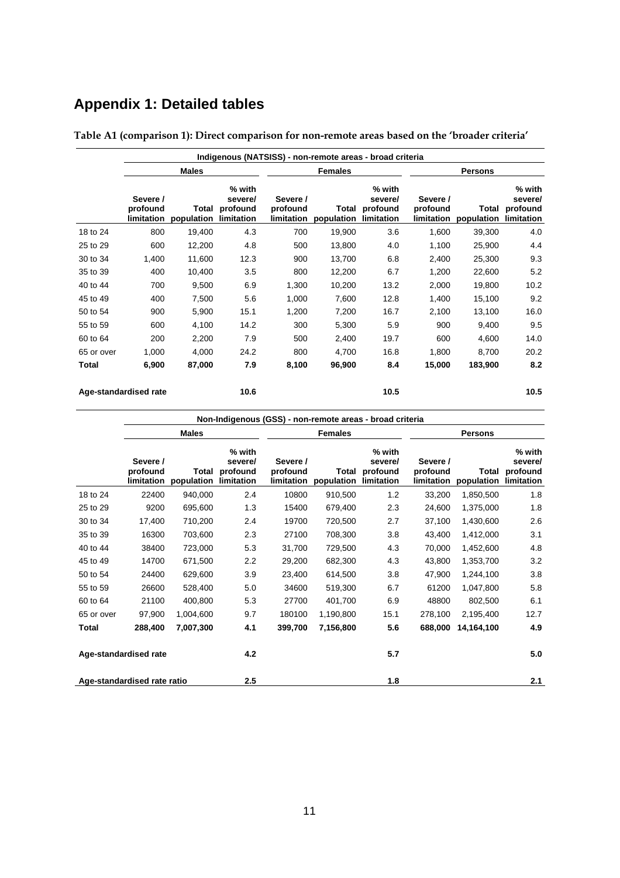# **Appendix 1: Detailed tables**

|              | Indigenous (NATSISS) - non-remote areas - broad criteria |                     |                                             |                                    |                     |                                             |                                    |                     |                                             |  |
|--------------|----------------------------------------------------------|---------------------|---------------------------------------------|------------------------------------|---------------------|---------------------------------------------|------------------------------------|---------------------|---------------------------------------------|--|
|              |                                                          | <b>Males</b>        |                                             |                                    | <b>Females</b>      |                                             | <b>Persons</b>                     |                     |                                             |  |
|              | Severe /<br>profound<br>limitation                       | Total<br>population | % with<br>severe/<br>profound<br>limitation | Severe /<br>profound<br>limitation | Total<br>population | % with<br>severe/<br>profound<br>limitation | Severe /<br>profound<br>limitation | Total<br>population | % with<br>severe/<br>profound<br>limitation |  |
| 18 to 24     | 800                                                      | 19,400              | 4.3                                         | 700                                | 19,900              | 3.6                                         | 1,600                              | 39,300              | 4.0                                         |  |
| 25 to 29     | 600                                                      | 12,200              | 4.8                                         | 500                                | 13,800              | 4.0                                         | 1,100                              | 25,900              | 4.4                                         |  |
| 30 to 34     | 1,400                                                    | 11,600              | 12.3                                        | 900                                | 13,700              | 6.8                                         | 2,400                              | 25,300              | 9.3                                         |  |
| 35 to 39     | 400                                                      | 10,400              | 3.5                                         | 800                                | 12,200              | 6.7                                         | 1,200                              | 22,600              | 5.2                                         |  |
| 40 to 44     | 700                                                      | 9,500               | 6.9                                         | 1,300                              | 10,200              | 13.2                                        | 2,000                              | 19,800              | 10.2                                        |  |
| 45 to 49     | 400                                                      | 7,500               | 5.6                                         | 1,000                              | 7,600               | 12.8                                        | 1,400                              | 15,100              | 9.2                                         |  |
| 50 to 54     | 900                                                      | 5,900               | 15.1                                        | 1,200                              | 7,200               | 16.7                                        | 2,100                              | 13,100              | 16.0                                        |  |
| 55 to 59     | 600                                                      | 4,100               | 14.2                                        | 300                                | 5,300               | 5.9                                         | 900                                | 9,400               | 9.5                                         |  |
| 60 to 64     | 200                                                      | 2,200               | 7.9                                         | 500                                | 2,400               | 19.7                                        | 600                                | 4,600               | 14.0                                        |  |
| 65 or over   | 1,000                                                    | 4,000               | 24.2                                        | 800                                | 4,700               | 16.8                                        | 1,800                              | 8,700               | 20.2                                        |  |
| <b>Total</b> | 6,900                                                    | 87,000              | 7.9                                         | 8,100                              | 96,900              | 8.4                                         | 15,000                             | 183,900             | 8.2                                         |  |
|              | Age-standardised rate                                    |                     | 10.6                                        |                                    |                     | 10.5                                        |                                    |                     | 10.5                                        |  |

**Table A1 (comparison 1): Direct comparison for non-remote areas based on the 'broader criteria'** 

|                                    | Non-Indigenous (GSS) - non-remote areas - broad criteria |                     |                                             |                                    |                     |                                             |                                    |                     |                                             |  |  |  |
|------------------------------------|----------------------------------------------------------|---------------------|---------------------------------------------|------------------------------------|---------------------|---------------------------------------------|------------------------------------|---------------------|---------------------------------------------|--|--|--|
|                                    |                                                          | <b>Males</b>        |                                             |                                    | <b>Females</b>      |                                             | <b>Persons</b>                     |                     |                                             |  |  |  |
|                                    | Severe /<br>profound<br>limitation                       | Total<br>population | % with<br>severe/<br>profound<br>limitation | Severe /<br>profound<br>limitation | Total<br>population | % with<br>severe/<br>profound<br>limitation | Severe /<br>profound<br>limitation | Total<br>population | % with<br>severe/<br>profound<br>limitation |  |  |  |
| 18 to 24                           | 22400                                                    | 940,000             | 2.4                                         | 10800                              | 910,500             | 1.2                                         | 33,200                             | 1,850,500           | 1.8                                         |  |  |  |
| 25 to 29                           | 9200                                                     | 695,600             | 1.3                                         | 15400                              | 679,400             | 2.3                                         | 24,600                             | 1,375,000           | 1.8                                         |  |  |  |
| 30 to 34                           | 17,400                                                   | 710,200             | 2.4                                         | 19700                              | 720,500             | 2.7                                         | 37,100                             | 1,430,600           | 2.6                                         |  |  |  |
| 35 to 39                           | 16300                                                    | 703,600             | 2.3                                         | 27100                              | 708,300             | 3.8                                         | 43,400                             | 1,412,000           | 3.1                                         |  |  |  |
| 40 to 44                           | 38400                                                    | 723,000             | 5.3                                         | 31,700                             | 729,500             | 4.3                                         | 70,000                             | 1,452,600           | 4.8                                         |  |  |  |
| 45 to 49                           | 14700                                                    | 671,500             | 2.2                                         | 29,200                             | 682,300             | 4.3                                         | 43,800                             | 1,353,700           | 3.2                                         |  |  |  |
| 50 to 54                           | 24400                                                    | 629,600             | 3.9                                         | 23,400                             | 614,500             | 3.8                                         | 47,900                             | 1,244,100           | 3.8                                         |  |  |  |
| 55 to 59                           | 26600                                                    | 528,400             | 5.0                                         | 34600                              | 519,300             | 6.7                                         | 61200                              | 1,047,800           | 5.8                                         |  |  |  |
| 60 to 64                           | 21100                                                    | 400,800             | 5.3                                         | 27700                              | 401,700             | 6.9                                         | 48800                              | 802,500             | 6.1                                         |  |  |  |
| 65 or over                         | 97,900                                                   | 1,004,600           | 9.7                                         | 180100                             | 1,190,800           | 15.1                                        | 278,100                            | 2,195,400           | 12.7                                        |  |  |  |
| Total                              | 288,400                                                  | 7,007,300           | 4.1                                         | 399,700                            | 7,156,800           | 5.6                                         | 688,000                            | 14,164,100          | 4.9                                         |  |  |  |
| Age-standardised rate              |                                                          |                     | 4.2                                         |                                    |                     | 5.7                                         |                                    |                     | 5.0                                         |  |  |  |
| 2.5<br>Age-standardised rate ratio |                                                          |                     |                                             |                                    | 1.8                 |                                             |                                    | 2.1                 |                                             |  |  |  |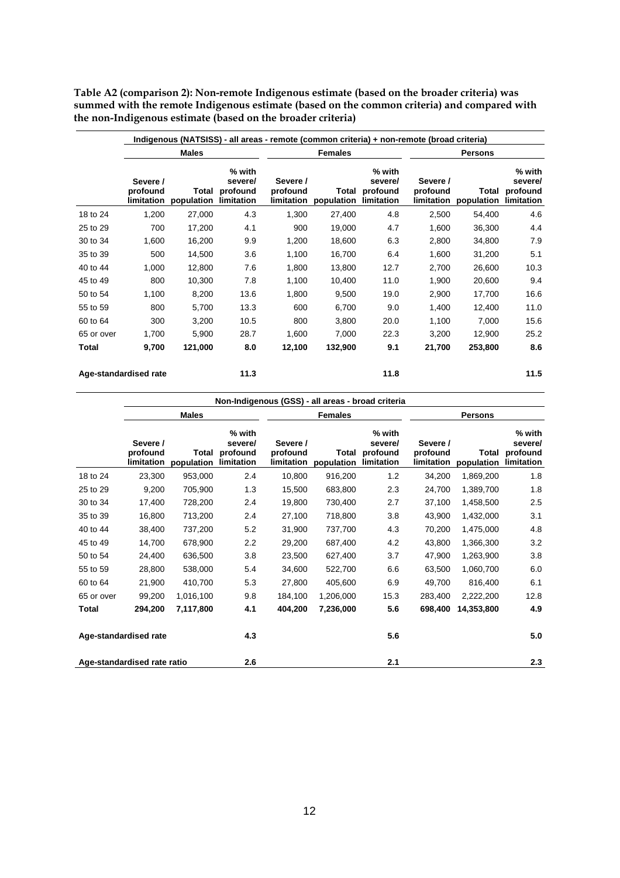**Table A2 (comparison 2): Non-remote Indigenous estimate (based on the broader criteria) was summed with the remote Indigenous estimate (based on the common criteria) and compared with the non-Indigenous estimate (based on the broader criteria)** 

|                       |                                    |                                |                               |                                    | Indigenous (NATSISS) - all areas - remote (common criteria) + non-remote (broad criteria) |                                             |                                    |                     |                                             |  |  |
|-----------------------|------------------------------------|--------------------------------|-------------------------------|------------------------------------|-------------------------------------------------------------------------------------------|---------------------------------------------|------------------------------------|---------------------|---------------------------------------------|--|--|
|                       |                                    | <b>Males</b>                   |                               |                                    | <b>Females</b>                                                                            |                                             | <b>Persons</b>                     |                     |                                             |  |  |
|                       | Severe /<br>profound<br>limitation | Total<br>population limitation | % with<br>severe/<br>profound | Severe /<br>profound<br>limitation | Total<br>population                                                                       | % with<br>severe/<br>profound<br>limitation | Severe /<br>profound<br>limitation | Total<br>population | % with<br>severe/<br>profound<br>limitation |  |  |
| 18 to 24              | 1,200                              | 27,000                         | 4.3                           | 1,300                              | 27,400                                                                                    | 4.8                                         | 2,500                              | 54,400              | 4.6                                         |  |  |
| 25 to 29              | 700                                | 17,200                         | 4.1                           | 900                                | 19,000                                                                                    | 4.7                                         | 1,600                              | 36,300              | 4.4                                         |  |  |
| 30 to 34              | 1,600                              | 16,200                         | 9.9                           | 1,200                              | 18,600                                                                                    | 6.3                                         | 2,800                              | 34,800              | 7.9                                         |  |  |
| 35 to 39              | 500                                | 14,500                         | 3.6                           | 1,100                              | 16,700                                                                                    | 6.4                                         | 1,600                              | 31,200              | 5.1                                         |  |  |
| 40 to 44              | 1,000                              | 12,800                         | 7.6                           | 1,800                              | 13,800                                                                                    | 12.7                                        | 2,700                              | 26,600              | 10.3                                        |  |  |
| 45 to 49              | 800                                | 10,300                         | 7.8                           | 1,100                              | 10,400                                                                                    | 11.0                                        | 1,900                              | 20,600              | 9.4                                         |  |  |
| 50 to 54              | 1,100                              | 8,200                          | 13.6                          | 1,800                              | 9,500                                                                                     | 19.0                                        | 2,900                              | 17,700              | 16.6                                        |  |  |
| 55 to 59              | 800                                | 5,700                          | 13.3                          | 600                                | 6,700                                                                                     | 9.0                                         | 1,400                              | 12,400              | 11.0                                        |  |  |
| 60 to 64              | 300                                | 3,200                          | 10.5                          | 800                                | 3,800                                                                                     | 20.0                                        | 1,100                              | 7,000               | 15.6                                        |  |  |
| 65 or over            | 1,700                              | 5,900                          | 28.7                          | 1,600                              | 7,000                                                                                     | 22.3                                        | 3,200                              | 12,900              | 25.2                                        |  |  |
| Total                 | 9,700                              | 121,000                        | 8.0                           | 12,100                             | 132,900                                                                                   | 9.1                                         | 21,700                             | 253,800             | 8.6                                         |  |  |
| Age-standardised rate |                                    |                                | 11.3                          |                                    |                                                                                           | 11.8                                        |                                    |                     | 11.5                                        |  |  |

|                             | Non-Indigenous (GSS) - all areas - broad criteria |                                |                               |                      |                                           |                               |                                    |                     |                                             |  |  |  |
|-----------------------------|---------------------------------------------------|--------------------------------|-------------------------------|----------------------|-------------------------------------------|-------------------------------|------------------------------------|---------------------|---------------------------------------------|--|--|--|
|                             |                                                   | <b>Males</b>                   |                               |                      | <b>Females</b>                            |                               |                                    | <b>Persons</b>      |                                             |  |  |  |
|                             | Severe /<br>profound<br>limitation                | Total<br>population limitation | % with<br>severe/<br>profound | Severe /<br>profound | Total<br>limitation population limitation | % with<br>severe/<br>profound | Severe /<br>profound<br>limitation | Total<br>population | % with<br>severe/<br>profound<br>limitation |  |  |  |
| 18 to 24                    | 23,300                                            | 953,000                        | 2.4                           | 10,800               | 916,200                                   | 1.2                           | 34,200                             | 1,869,200           | 1.8                                         |  |  |  |
| 25 to 29                    | 9,200                                             | 705,900                        | 1.3                           | 15,500               | 683,800                                   | 2.3                           | 24,700                             | 1,389,700           | 1.8                                         |  |  |  |
| 30 to 34                    | 17,400                                            | 728,200                        | 2.4                           | 19,800               | 730,400                                   | 2.7                           | 37,100                             | 1,458,500           | 2.5                                         |  |  |  |
| 35 to 39                    | 16,800                                            | 713,200                        | 2.4                           | 27,100               | 718,800                                   | 3.8                           | 43,900                             | 1,432,000           | 3.1                                         |  |  |  |
| 40 to 44                    | 38,400                                            | 737,200                        | 5.2                           | 31,900               | 737,700                                   | 4.3                           | 70,200                             | 1,475,000           | 4.8                                         |  |  |  |
| 45 to 49                    | 14,700                                            | 678,900                        | 2.2                           | 29,200               | 687,400                                   | 4.2                           | 43,800                             | 1,366,300           | 3.2                                         |  |  |  |
| 50 to 54                    | 24,400                                            | 636,500                        | 3.8                           | 23,500               | 627,400                                   | 3.7                           | 47,900                             | 1,263,900           | 3.8                                         |  |  |  |
| 55 to 59                    | 28,800                                            | 538,000                        | 5.4                           | 34,600               | 522,700                                   | 6.6                           | 63,500                             | 1,060,700           | 6.0                                         |  |  |  |
| 60 to 64                    | 21,900                                            | 410,700                        | 5.3                           | 27,800               | 405,600                                   | 6.9                           | 49,700                             | 816,400             | 6.1                                         |  |  |  |
| 65 or over                  | 99,200                                            | 1,016,100                      | 9.8                           | 184,100              | 1,206,000                                 | 15.3                          | 283,400                            | 2,222,200           | 12.8                                        |  |  |  |
| Total                       | 294,200                                           | 7,117,800                      | 4.1                           | 404,200              | 7,236,000                                 | 5.6                           | 698,400                            | 14,353,800          | 4.9                                         |  |  |  |
|                             | Age-standardised rate                             |                                | 4.3                           |                      |                                           | 5.6                           |                                    |                     | 5.0                                         |  |  |  |
| Age-standardised rate ratio |                                                   |                                | 2.6                           |                      |                                           | 2.1                           |                                    |                     | 2.3                                         |  |  |  |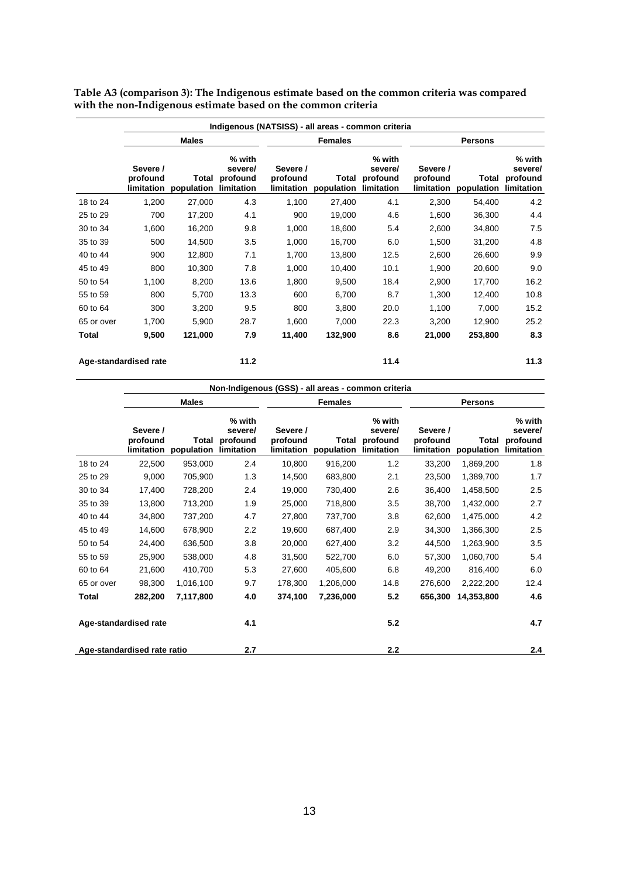|            | Indigenous (NATSISS) - all areas - common criteria |                     |                                             |                                    |                     |                                                    |                                           |                     |                                             |  |  |  |
|------------|----------------------------------------------------|---------------------|---------------------------------------------|------------------------------------|---------------------|----------------------------------------------------|-------------------------------------------|---------------------|---------------------------------------------|--|--|--|
|            |                                                    | <b>Males</b>        |                                             |                                    | <b>Females</b>      |                                                    | <b>Persons</b>                            |                     |                                             |  |  |  |
|            | Severe /<br>profound<br>limitation                 | Total<br>population | % with<br>severe/<br>profound<br>limitation | Severe /<br>profound<br>limitation | Total<br>population | % with<br>severe/<br>profound<br><b>limitation</b> | Severe /<br>profound<br><b>limitation</b> | Total<br>population | % with<br>severe/<br>profound<br>limitation |  |  |  |
| 18 to 24   | 1,200                                              | 27,000              | 4.3                                         | 1,100                              | 27,400              | 4.1                                                | 2,300                                     | 54,400              | 4.2                                         |  |  |  |
| 25 to 29   | 700                                                | 17,200              | 4.1                                         | 900                                | 19,000              | 4.6                                                | 1,600                                     | 36,300              | 4.4                                         |  |  |  |
| 30 to 34   | 1,600                                              | 16,200              | 9.8                                         | 1,000                              | 18,600              | 5.4                                                | 2,600                                     | 34,800              | 7.5                                         |  |  |  |
| 35 to 39   | 500                                                | 14,500              | 3.5                                         | 1,000                              | 16,700              | 6.0                                                | 1,500                                     | 31,200              | 4.8                                         |  |  |  |
| 40 to 44   | 900                                                | 12,800              | 7.1                                         | 1,700                              | 13,800              | 12.5                                               | 2,600                                     | 26,600              | 9.9                                         |  |  |  |
| 45 to 49   | 800                                                | 10,300              | 7.8                                         | 1,000                              | 10,400              | 10.1                                               | 1,900                                     | 20,600              | 9.0                                         |  |  |  |
| 50 to 54   | 1,100                                              | 8,200               | 13.6                                        | 1,800                              | 9,500               | 18.4                                               | 2,900                                     | 17,700              | 16.2                                        |  |  |  |
| 55 to 59   | 800                                                | 5,700               | 13.3                                        | 600                                | 6,700               | 8.7                                                | 1,300                                     | 12,400              | 10.8                                        |  |  |  |
| 60 to 64   | 300                                                | 3,200               | 9.5                                         | 800                                | 3,800               | 20.0                                               | 1,100                                     | 7,000               | 15.2                                        |  |  |  |
| 65 or over | 1,700                                              | 5,900               | 28.7                                        | 1,600                              | 7,000               | 22.3                                               | 3,200                                     | 12,900              | 25.2                                        |  |  |  |
| Total      | 9,500                                              | 121,000             | 7.9                                         | 11,400                             | 132,900             | 8.6                                                | 21,000                                    | 253,800             | 8.3                                         |  |  |  |
|            | Age-standardised rate                              |                     | 11.2                                        |                                    |                     | 11.4                                               |                                           |                     | 11.3                                        |  |  |  |

**Table A3 (comparison 3): The Indigenous estimate based on the common criteria was compared with the non-Indigenous estimate based on the common criteria** 

|                              | Non-Indigenous (GSS) - all areas - common criteria |                     |                                             |                                    |                     |                                             |                                    |                     |                                             |  |
|------------------------------|----------------------------------------------------|---------------------|---------------------------------------------|------------------------------------|---------------------|---------------------------------------------|------------------------------------|---------------------|---------------------------------------------|--|
|                              | <b>Males</b>                                       |                     |                                             | <b>Females</b>                     |                     |                                             | <b>Persons</b>                     |                     |                                             |  |
|                              | Severe /<br>profound<br>limitation                 | Total<br>population | % with<br>severe/<br>profound<br>limitation | Severe /<br>profound<br>limitation | Total<br>population | % with<br>severe/<br>profound<br>limitation | Severe /<br>profound<br>limitation | Total<br>population | % with<br>severe/<br>profound<br>limitation |  |
| 18 to 24                     | 22,500                                             | 953,000             | 2.4                                         | 10,800                             | 916,200             | 1.2                                         | 33,200                             | 1,869,200           | 1.8                                         |  |
| 25 to 29                     | 9,000                                              | 705,900             | 1.3                                         | 14,500                             | 683,800             | 2.1                                         | 23,500                             | 1,389,700           | 1.7                                         |  |
| 30 to 34                     | 17,400                                             | 728,200             | 2.4                                         | 19,000                             | 730,400             | 2.6                                         | 36,400                             | 1,458,500           | 2.5                                         |  |
| 35 to 39                     | 13,800                                             | 713,200             | 1.9                                         | 25,000                             | 718,800             | 3.5                                         | 38,700                             | 1,432,000           | 2.7                                         |  |
| 40 to 44                     | 34,800                                             | 737,200             | 4.7                                         | 27,800                             | 737,700             | 3.8                                         | 62,600                             | 1,475,000           | 4.2                                         |  |
| 45 to 49                     | 14,600                                             | 678,900             | 2.2                                         | 19,600                             | 687,400             | 2.9                                         | 34,300                             | 1,366,300           | 2.5                                         |  |
| 50 to 54                     | 24,400                                             | 636,500             | 3.8                                         | 20,000                             | 627,400             | 3.2                                         | 44,500                             | 1,263,900           | 3.5                                         |  |
| 55 to 59                     | 25,900                                             | 538,000             | 4.8                                         | 31,500                             | 522,700             | 6.0                                         | 57,300                             | 1,060,700           | 5.4                                         |  |
| 60 to 64                     | 21,600                                             | 410,700             | 5.3                                         | 27,600                             | 405,600             | 6.8                                         | 49,200                             | 816,400             | 6.0                                         |  |
| 65 or over                   | 98,300                                             | 1,016,100           | 9.7                                         | 178,300                            | 1,206,000           | 14.8                                        | 276,600                            | 2,222,200           | 12.4                                        |  |
| Total                        | 282,200                                            | 7,117,800           | 4.0                                         | 374,100                            | 7,236,000           | 5.2                                         | 656,300                            | 14,353,800          | 4.6                                         |  |
| 4.1<br>Age-standardised rate |                                                    |                     |                                             | 5.2                                |                     |                                             | 4.7                                |                     |                                             |  |
| Age-standardised rate ratio  |                                                    | 2.7                 |                                             |                                    | 2.2                 |                                             |                                    | 2.4                 |                                             |  |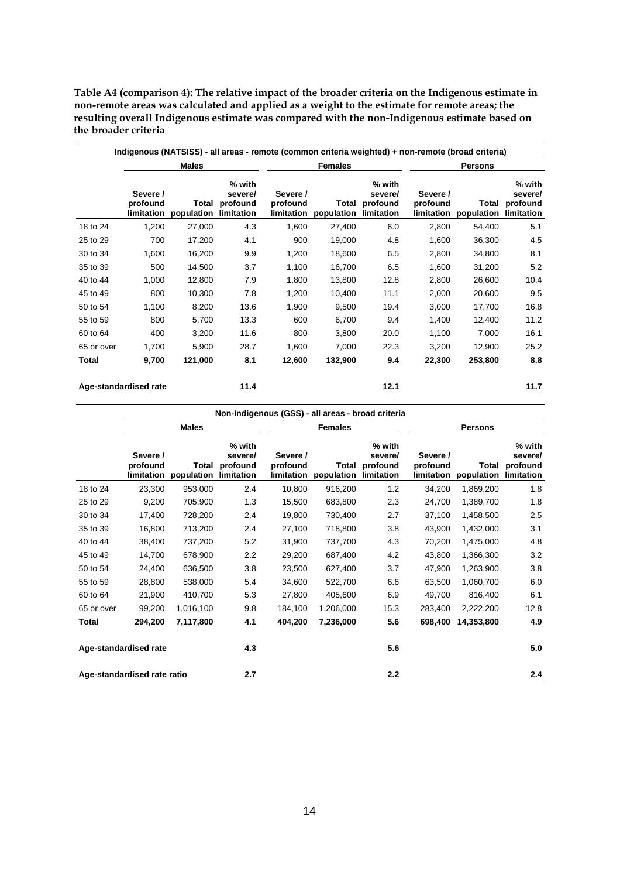**Table A4 (comparison 4): The relative impact of the broader criteria on the Indigenous estimate in non-remote areas was calculated and applied as a weight to the estimate for remote areas; the resulting overall Indigenous estimate was compared with the non-Indigenous estimate based on the broader criteria** 

|                               | <b>Males</b>                       |                     |                                             | <b>Females</b>                     |                     |                                                    | <b>Persons</b>                     |                     |                                             |
|-------------------------------|------------------------------------|---------------------|---------------------------------------------|------------------------------------|---------------------|----------------------------------------------------|------------------------------------|---------------------|---------------------------------------------|
|                               | Severe /<br>profound<br>limitation | Total<br>population | % with<br>severe/<br>profound<br>limitation | Severe /<br>profound<br>limitation | Total<br>population | % with<br>severe/<br>profound<br><b>limitation</b> | Severe /<br>profound<br>limitation | Total<br>population | % with<br>severe/<br>profound<br>limitation |
| 18 to 24                      | 1,200                              | 27,000              | 4.3                                         | 1,600                              | 27,400              | 6.0                                                | 2,800                              | 54,400              | 5.1                                         |
| 25 to 29                      | 700                                | 17,200              | 4.1                                         | 900                                | 19,000              | 4.8                                                | 1,600                              | 36,300              | 4.5                                         |
| 30 to 34                      | 1,600                              | 16,200              | 9.9                                         | 1,200                              | 18,600              | 6.5                                                | 2,800                              | 34,800              | 8.1                                         |
| 35 to 39                      | 500                                | 14,500              | 3.7                                         | 1,100                              | 16,700              | 6.5                                                | 1,600                              | 31,200              | 5.2                                         |
| 40 to 44                      | 1,000                              | 12,800              | 7.9                                         | 1,800                              | 13,800              | 12.8                                               | 2,800                              | 26,600              | 10.4                                        |
| 45 to 49                      | 800                                | 10,300              | 7.8                                         | 1,200                              | 10,400              | 11.1                                               | 2,000                              | 20,600              | 9.5                                         |
| 50 to 54                      | 1,100                              | 8,200               | 13.6                                        | 1,900                              | 9,500               | 19.4                                               | 3,000                              | 17,700              | 16.8                                        |
| 55 to 59                      | 800                                | 5,700               | 13.3                                        | 600                                | 6,700               | 9.4                                                | 1,400                              | 12,400              | 11.2                                        |
| 60 to 64                      | 400                                | 3,200               | 11.6                                        | 800                                | 3,800               | 20.0                                               | 1,100                              | 7,000               | 16.1                                        |
| 65 or over                    | 1,700                              | 5,900               | 28.7                                        | 1,600                              | 7,000               | 22.3                                               | 3,200                              | 12,900              | 25.2                                        |
| Total                         | 9,700                              | 121,000             | 8.1                                         | 12,600                             | 132,900             | 9.4                                                | 22,300                             | 253,800             | 8.8                                         |
| Age-standardised rate<br>11.4 |                                    |                     |                                             |                                    | 12.1                |                                                    |                                    | 11.7                |                                             |

|                              | Non-Indigenous (GSS) - all areas - broad criteria |                     |                                             |                                    |                     |                                                    |                                    |                     |                                             |  |
|------------------------------|---------------------------------------------------|---------------------|---------------------------------------------|------------------------------------|---------------------|----------------------------------------------------|------------------------------------|---------------------|---------------------------------------------|--|
|                              | <b>Males</b>                                      |                     |                                             | <b>Females</b>                     |                     |                                                    | <b>Persons</b>                     |                     |                                             |  |
|                              | Severe /<br>profound<br>limitation                | Total<br>population | % with<br>severe/<br>profound<br>limitation | Severe /<br>profound<br>limitation | Total<br>population | % with<br>severe/<br>profound<br><b>limitation</b> | Severe /<br>profound<br>limitation | Total<br>population | % with<br>severe/<br>profound<br>limitation |  |
| 18 to 24                     | 23,300                                            | 953,000             | 2.4                                         | 10,800                             | 916,200             | 1.2                                                | 34,200                             | 1,869,200           | 1.8                                         |  |
| 25 to 29                     | 9,200                                             | 705,900             | 1.3                                         | 15,500                             | 683,800             | 2.3                                                | 24,700                             | 1,389,700           | 1.8                                         |  |
| 30 to 34                     | 17,400                                            | 728,200             | 2.4                                         | 19,800                             | 730,400             | 2.7                                                | 37,100                             | 1,458,500           | 2.5                                         |  |
| 35 to 39                     | 16,800                                            | 713,200             | 2.4                                         | 27,100                             | 718,800             | 3.8                                                | 43,900                             | 1,432,000           | 3.1                                         |  |
| 40 to 44                     | 38,400                                            | 737,200             | 5.2                                         | 31,900                             | 737,700             | 4.3                                                | 70,200                             | 1,475,000           | 4.8                                         |  |
| 45 to 49                     | 14,700                                            | 678,900             | 2.2                                         | 29,200                             | 687,400             | 4.2                                                | 43,800                             | 1,366,300           | 3.2                                         |  |
| 50 to 54                     | 24,400                                            | 636,500             | 3.8                                         | 23,500                             | 627,400             | 3.7                                                | 47,900                             | 1,263,900           | 3.8                                         |  |
| 55 to 59                     | 28,800                                            | 538,000             | 5.4                                         | 34,600                             | 522,700             | 6.6                                                | 63,500                             | 1,060,700           | 6.0                                         |  |
| 60 to 64                     | 21,900                                            | 410,700             | 5.3                                         | 27,800                             | 405,600             | 6.9                                                | 49,700                             | 816,400             | 6.1                                         |  |
| 65 or over                   | 99,200                                            | 1,016,100           | 9.8                                         | 184,100                            | 1,206,000           | 15.3                                               | 283,400                            | 2,222,200           | 12.8                                        |  |
| Total                        | 294,200                                           | 7,117,800           | 4.1                                         | 404,200                            | 7,236,000           | 5.6                                                | 698,400                            | 14,353,800          | 4.9                                         |  |
| 4.3<br>Age-standardised rate |                                                   |                     |                                             | 5.6                                |                     |                                                    | 5.0                                |                     |                                             |  |
| Age-standardised rate ratio  |                                                   | 2.7                 |                                             |                                    | 2.2                 |                                                    |                                    | 2.4                 |                                             |  |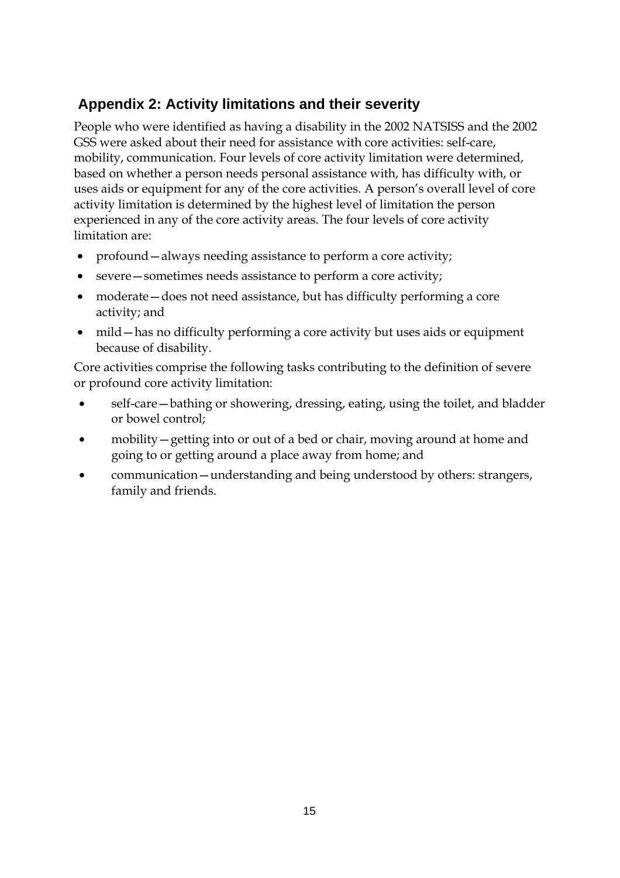# **Appendix 2: Activity limitations and their severity**

People who were identified as having a disability in the 2002 NATSISS and the 2002 GSS were asked about their need for assistance with core activities: self-care, mobility, communication. Four levels of core activity limitation were determined, based on whether a person needs personal assistance with, has difficulty with, or uses aids or equipment for any of the core activities. A person's overall level of core activity limitation is determined by the highest level of limitation the person experienced in any of the core activity areas. The four levels of core activity limitation are:

- profound always needing assistance to perform a core activity;
- severe sometimes needs assistance to perform a core activity;
- moderate does not need assistance, but has difficulty performing a core activity; and
- mild—has no difficulty performing a core activity but uses aids or equipment because of disability.

Core activities comprise the following tasks contributing to the definition of severe or profound core activity limitation:

- self-care—bathing or showering, dressing, eating, using the toilet, and bladder or bowel control;
- mobility—getting into or out of a bed or chair, moving around at home and going to or getting around a place away from home; and
- communication—understanding and being understood by others: strangers, family and friends.